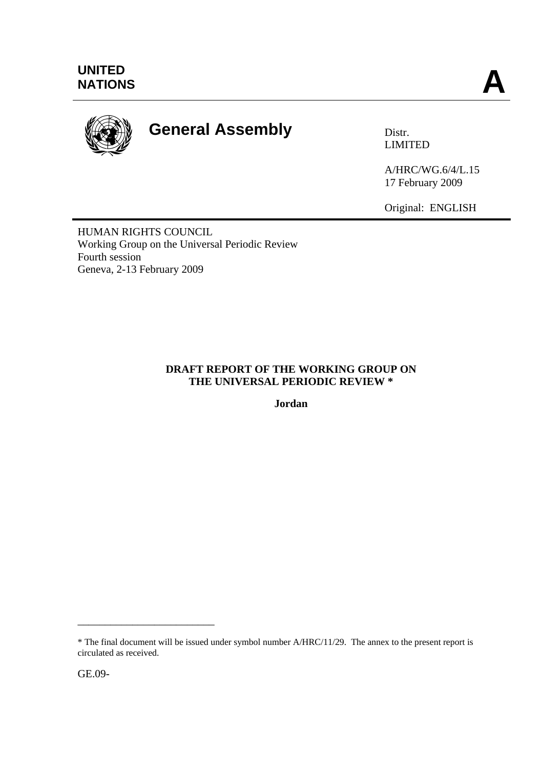

# **General Assembly Distr.**

LIMITED

A/HRC/WG.6/4/L.15 17 February 2009

Original: ENGLISH

HUMAN RIGHTS COUNCIL Working Group on the Universal Periodic Review Fourth session Geneva, 2-13 February 2009

#### **DRAFT REPORT OF THE WORKING GROUP ON THE UNIVERSAL PERIODIC REVIEW \***

**Jordan** 

\_\_\_\_\_\_\_\_\_\_\_\_\_\_\_\_\_\_\_\_\_\_\_\_\_

<sup>\*</sup> The final document will be issued under symbol number A/HRC/11/29. The annex to the present report is circulated as received.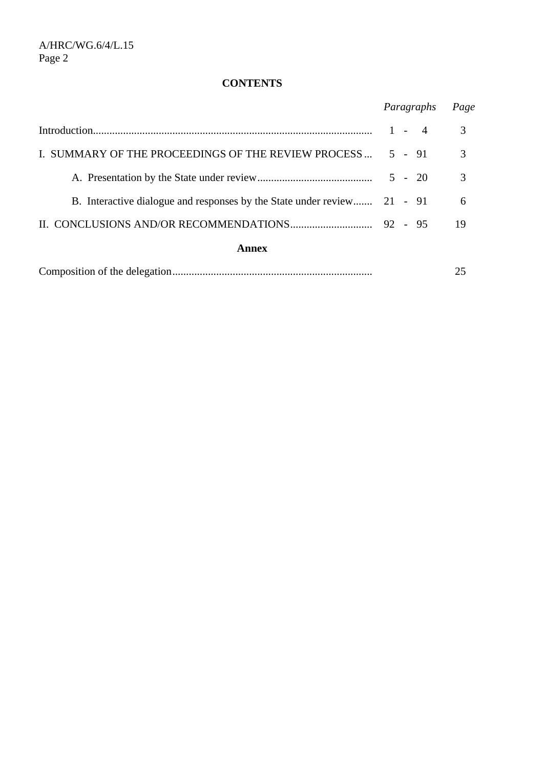# **CONTENTS**

|                                                                         | Paragraphs | Page |
|-------------------------------------------------------------------------|------------|------|
|                                                                         | $1 - 4$    | 3    |
| I. SUMMARY OF THE PROCEEDINGS OF THE REVIEW PROCESS                     | $5 - 91$   | 3    |
|                                                                         | $5 - 20$   | 3    |
| B. Interactive dialogue and responses by the State under review 21 - 91 |            | 6    |
|                                                                         |            | 19   |
| Annex                                                                   |            |      |
|                                                                         |            | 25   |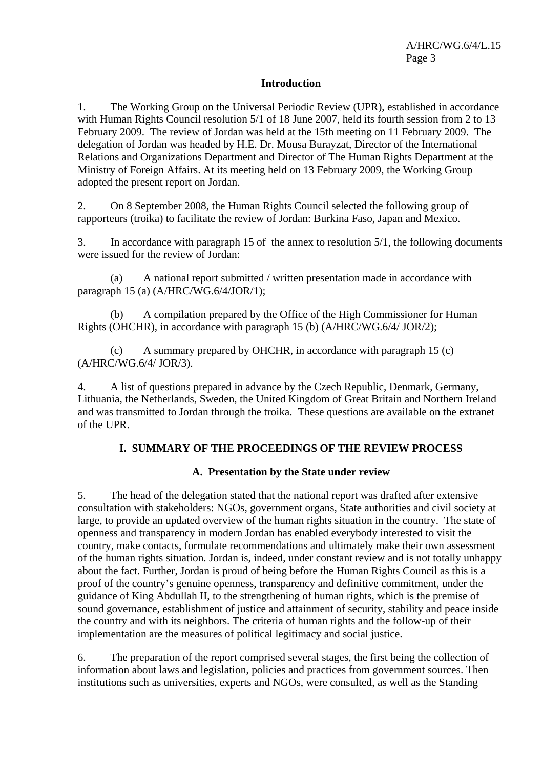#### **Introduction**

1. The Working Group on the Universal Periodic Review (UPR), established in accordance with Human Rights Council resolution 5/1 of 18 June 2007, held its fourth session from 2 to 13 February 2009. The review of Jordan was held at the 15th meeting on 11 February 2009. The delegation of Jordan was headed by H.E. Dr. Mousa Burayzat, Director of the International Relations and Organizations Department and Director of The Human Rights Department at the Ministry of Foreign Affairs. At its meeting held on 13 February 2009, the Working Group adopted the present report on Jordan.

2. On 8 September 2008, the Human Rights Council selected the following group of rapporteurs (troika) to facilitate the review of Jordan: Burkina Faso, Japan and Mexico.

3. In accordance with paragraph 15 of the annex to resolution 5/1, the following documents were issued for the review of Jordan:

 (a) A national report submitted / written presentation made in accordance with paragraph 15 (a) (A/HRC/WG.6/4/JOR/1);

 (b) A compilation prepared by the Office of the High Commissioner for Human Rights (OHCHR), in accordance with paragraph 15 (b) (A/HRC/WG.6/4/ JOR/2);

 (c) A summary prepared by OHCHR, in accordance with paragraph 15 (c) (A/HRC/WG.6/4/ JOR/3).

4. A list of questions prepared in advance by the Czech Republic, Denmark, Germany, Lithuania, the Netherlands, Sweden, the United Kingdom of Great Britain and Northern Ireland and was transmitted to Jordan through the troika. These questions are available on the extranet of the UPR.

#### **I. SUMMARY OF THE PROCEEDINGS OF THE REVIEW PROCESS**

#### **A. Presentation by the State under review**

5. The head of the delegation stated that the national report was drafted after extensive consultation with stakeholders: NGOs, government organs, State authorities and civil society at large, to provide an updated overview of the human rights situation in the country. The state of openness and transparency in modern Jordan has enabled everybody interested to visit the country, make contacts, formulate recommendations and ultimately make their own assessment of the human rights situation. Jordan is, indeed, under constant review and is not totally unhappy about the fact. Further, Jordan is proud of being before the Human Rights Council as this is a proof of the country's genuine openness, transparency and definitive commitment, under the guidance of King Abdullah II, to the strengthening of human rights, which is the premise of sound governance, establishment of justice and attainment of security, stability and peace inside the country and with its neighbors. The criteria of human rights and the follow-up of their implementation are the measures of political legitimacy and social justice.

6. The preparation of the report comprised several stages, the first being the collection of information about laws and legislation, policies and practices from government sources. Then institutions such as universities, experts and NGOs, were consulted, as well as the Standing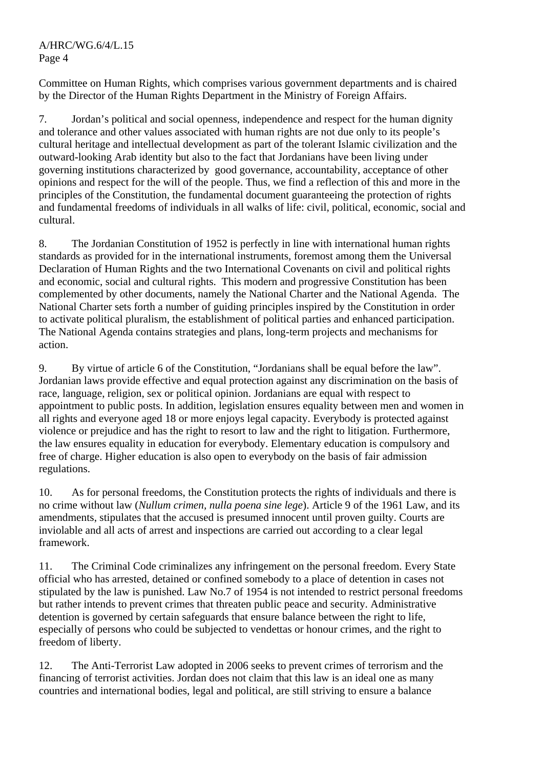Committee on Human Rights, which comprises various government departments and is chaired by the Director of the Human Rights Department in the Ministry of Foreign Affairs.

7. Jordan's political and social openness, independence and respect for the human dignity and tolerance and other values associated with human rights are not due only to its people's cultural heritage and intellectual development as part of the tolerant Islamic civilization and the outward-looking Arab identity but also to the fact that Jordanians have been living under governing institutions characterized by good governance, accountability, acceptance of other opinions and respect for the will of the people. Thus, we find a reflection of this and more in the principles of the Constitution, the fundamental document guaranteeing the protection of rights and fundamental freedoms of individuals in all walks of life: civil, political, economic, social and cultural.

8. The Jordanian Constitution of 1952 is perfectly in line with international human rights standards as provided for in the international instruments, foremost among them the Universal Declaration of Human Rights and the two International Covenants on civil and political rights and economic, social and cultural rights. This modern and progressive Constitution has been complemented by other documents, namely the National Charter and the National Agenda. The National Charter sets forth a number of guiding principles inspired by the Constitution in order to activate political pluralism, the establishment of political parties and enhanced participation. The National Agenda contains strategies and plans, long-term projects and mechanisms for action.

9. By virtue of article 6 of the Constitution, "Jordanians shall be equal before the law". Jordanian laws provide effective and equal protection against any discrimination on the basis of race, language, religion, sex or political opinion. Jordanians are equal with respect to appointment to public posts. In addition, legislation ensures equality between men and women in all rights and everyone aged 18 or more enjoys legal capacity. Everybody is protected against violence or prejudice and has the right to resort to law and the right to litigation. Furthermore, the law ensures equality in education for everybody. Elementary education is compulsory and free of charge. Higher education is also open to everybody on the basis of fair admission regulations.

10. As for personal freedoms, the Constitution protects the rights of individuals and there is no crime without law (*Nullum crimen, nulla poena sine lege*). Article 9 of the 1961 Law, and its amendments, stipulates that the accused is presumed innocent until proven guilty. Courts are inviolable and all acts of arrest and inspections are carried out according to a clear legal framework.

11. The Criminal Code criminalizes any infringement on the personal freedom. Every State official who has arrested, detained or confined somebody to a place of detention in cases not stipulated by the law is punished. Law No.7 of 1954 is not intended to restrict personal freedoms but rather intends to prevent crimes that threaten public peace and security. Administrative detention is governed by certain safeguards that ensure balance between the right to life, especially of persons who could be subjected to vendettas or honour crimes, and the right to freedom of liberty.

12. The Anti-Terrorist Law adopted in 2006 seeks to prevent crimes of terrorism and the financing of terrorist activities. Jordan does not claim that this law is an ideal one as many countries and international bodies, legal and political, are still striving to ensure a balance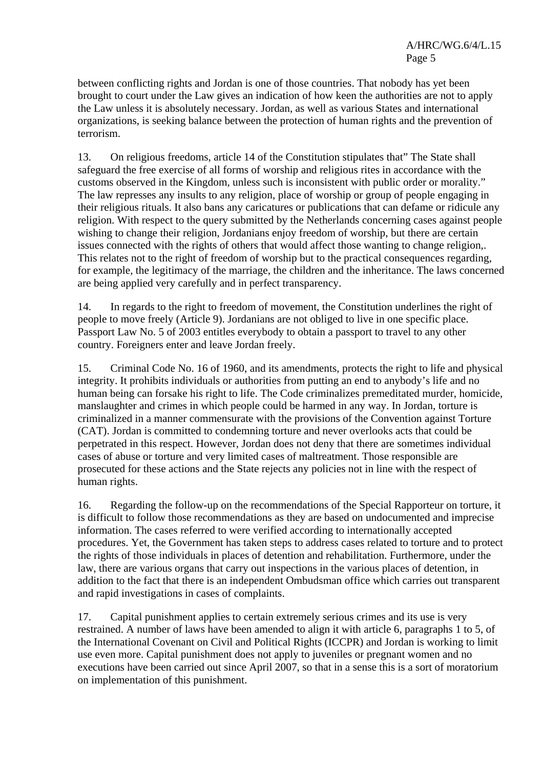between conflicting rights and Jordan is one of those countries. That nobody has yet been brought to court under the Law gives an indication of how keen the authorities are not to apply the Law unless it is absolutely necessary. Jordan, as well as various States and international organizations, is seeking balance between the protection of human rights and the prevention of terrorism.

13. On religious freedoms, article 14 of the Constitution stipulates that" The State shall safeguard the free exercise of all forms of worship and religious rites in accordance with the customs observed in the Kingdom, unless such is inconsistent with public order or morality." The law represses any insults to any religion, place of worship or group of people engaging in their religious rituals. It also bans any caricatures or publications that can defame or ridicule any religion. With respect to the query submitted by the Netherlands concerning cases against people wishing to change their religion, Jordanians enjoy freedom of worship, but there are certain issues connected with the rights of others that would affect those wanting to change religion,. This relates not to the right of freedom of worship but to the practical consequences regarding, for example, the legitimacy of the marriage, the children and the inheritance. The laws concerned are being applied very carefully and in perfect transparency.

14. In regards to the right to freedom of movement, the Constitution underlines the right of people to move freely (Article 9). Jordanians are not obliged to live in one specific place. Passport Law No. 5 of 2003 entitles everybody to obtain a passport to travel to any other country. Foreigners enter and leave Jordan freely.

15. Criminal Code No. 16 of 1960, and its amendments, protects the right to life and physical integrity. It prohibits individuals or authorities from putting an end to anybody's life and no human being can forsake his right to life. The Code criminalizes premeditated murder, homicide, manslaughter and crimes in which people could be harmed in any way. In Jordan, torture is criminalized in a manner commensurate with the provisions of the Convention against Torture (CAT). Jordan is committed to condemning torture and never overlooks acts that could be perpetrated in this respect. However, Jordan does not deny that there are sometimes individual cases of abuse or torture and very limited cases of maltreatment. Those responsible are prosecuted for these actions and the State rejects any policies not in line with the respect of human rights.

16. Regarding the follow-up on the recommendations of the Special Rapporteur on torture, it is difficult to follow those recommendations as they are based on undocumented and imprecise information. The cases referred to were verified according to internationally accepted procedures. Yet, the Government has taken steps to address cases related to torture and to protect the rights of those individuals in places of detention and rehabilitation. Furthermore, under the law, there are various organs that carry out inspections in the various places of detention, in addition to the fact that there is an independent Ombudsman office which carries out transparent and rapid investigations in cases of complaints.

17. Capital punishment applies to certain extremely serious crimes and its use is very restrained. A number of laws have been amended to align it with article 6, paragraphs 1 to 5, of the International Covenant on Civil and Political Rights (ICCPR) and Jordan is working to limit use even more. Capital punishment does not apply to juveniles or pregnant women and no executions have been carried out since April 2007, so that in a sense this is a sort of moratorium on implementation of this punishment.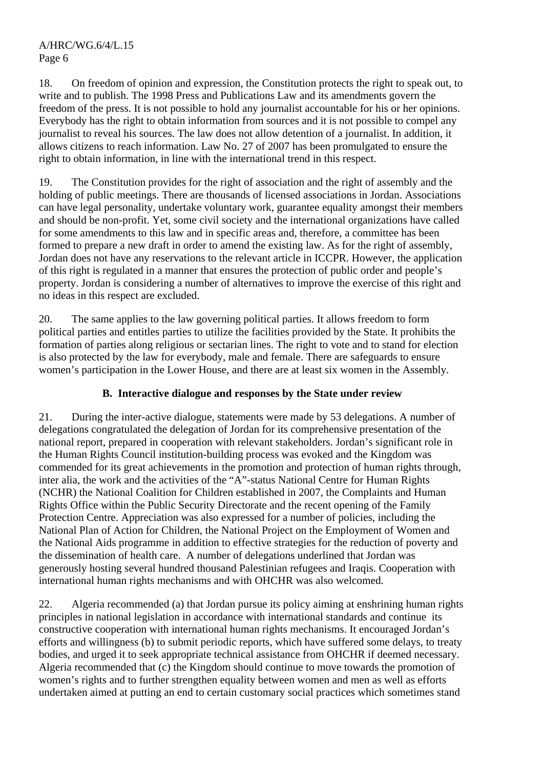18. On freedom of opinion and expression, the Constitution protects the right to speak out, to write and to publish. The 1998 Press and Publications Law and its amendments govern the freedom of the press. It is not possible to hold any journalist accountable for his or her opinions. Everybody has the right to obtain information from sources and it is not possible to compel any journalist to reveal his sources. The law does not allow detention of a journalist. In addition, it allows citizens to reach information. Law No. 27 of 2007 has been promulgated to ensure the right to obtain information, in line with the international trend in this respect.

19. The Constitution provides for the right of association and the right of assembly and the holding of public meetings. There are thousands of licensed associations in Jordan. Associations can have legal personality, undertake voluntary work, guarantee equality amongst their members and should be non-profit. Yet, some civil society and the international organizations have called for some amendments to this law and in specific areas and, therefore, a committee has been formed to prepare a new draft in order to amend the existing law. As for the right of assembly, Jordan does not have any reservations to the relevant article in ICCPR. However, the application of this right is regulated in a manner that ensures the protection of public order and people's property. Jordan is considering a number of alternatives to improve the exercise of this right and no ideas in this respect are excluded.

20. The same applies to the law governing political parties. It allows freedom to form political parties and entitles parties to utilize the facilities provided by the State. It prohibits the formation of parties along religious or sectarian lines. The right to vote and to stand for election is also protected by the law for everybody, male and female. There are safeguards to ensure women's participation in the Lower House, and there are at least six women in the Assembly.

## **B. Interactive dialogue and responses by the State under review**

21. During the inter-active dialogue, statements were made by 53 delegations. A number of delegations congratulated the delegation of Jordan for its comprehensive presentation of the national report, prepared in cooperation with relevant stakeholders. Jordan's significant role in the Human Rights Council institution-building process was evoked and the Kingdom was commended for its great achievements in the promotion and protection of human rights through, inter alia, the work and the activities of the "A"-status National Centre for Human Rights (NCHR) the National Coalition for Children established in 2007, the Complaints and Human Rights Office within the Public Security Directorate and the recent opening of the Family Protection Centre. Appreciation was also expressed for a number of policies, including the National Plan of Action for Children, the National Project on the Employment of Women and the National Aids programme in addition to effective strategies for the reduction of poverty and the dissemination of health care. A number of delegations underlined that Jordan was generously hosting several hundred thousand Palestinian refugees and Iraqis. Cooperation with international human rights mechanisms and with OHCHR was also welcomed.

22. Algeria recommended (a) that Jordan pursue its policy aiming at enshrining human rights principles in national legislation in accordance with international standards and continue its constructive cooperation with international human rights mechanisms. It encouraged Jordan's efforts and willingness (b) to submit periodic reports, which have suffered some delays, to treaty bodies, and urged it to seek appropriate technical assistance from OHCHR if deemed necessary. Algeria recommended that (c) the Kingdom should continue to move towards the promotion of women's rights and to further strengthen equality between women and men as well as efforts undertaken aimed at putting an end to certain customary social practices which sometimes stand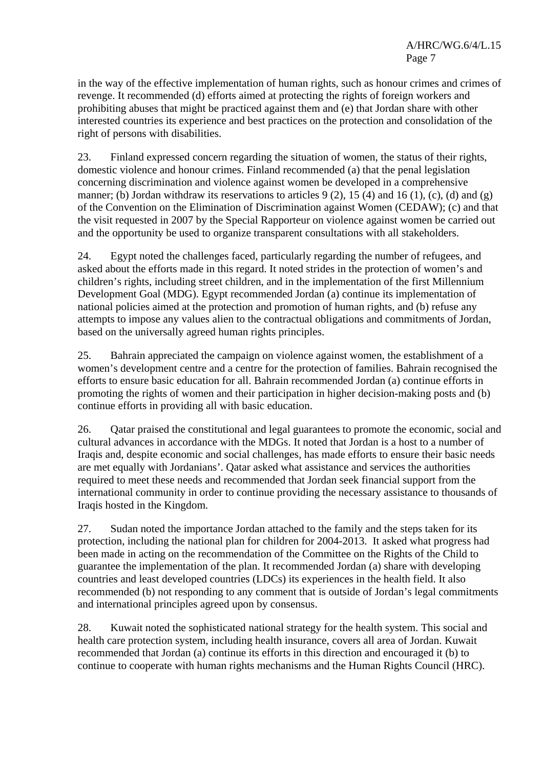in the way of the effective implementation of human rights, such as honour crimes and crimes of revenge. It recommended (d) efforts aimed at protecting the rights of foreign workers and prohibiting abuses that might be practiced against them and (e) that Jordan share with other interested countries its experience and best practices on the protection and consolidation of the right of persons with disabilities.

23. Finland expressed concern regarding the situation of women, the status of their rights, domestic violence and honour crimes. Finland recommended (a) that the penal legislation concerning discrimination and violence against women be developed in a comprehensive manner; (b) Jordan withdraw its reservations to articles  $9(2)$ , 15 (4) and 16 (1), (c), (d) and (g) of the Convention on the Elimination of Discrimination against Women (CEDAW); (c) and that the visit requested in 2007 by the Special Rapporteur on violence against women be carried out and the opportunity be used to organize transparent consultations with all stakeholders.

24. Egypt noted the challenges faced, particularly regarding the number of refugees, and asked about the efforts made in this regard. It noted strides in the protection of women's and children's rights, including street children, and in the implementation of the first Millennium Development Goal (MDG). Egypt recommended Jordan (a) continue its implementation of national policies aimed at the protection and promotion of human rights, and (b) refuse any attempts to impose any values alien to the contractual obligations and commitments of Jordan, based on the universally agreed human rights principles.

25. Bahrain appreciated the campaign on violence against women, the establishment of a women's development centre and a centre for the protection of families. Bahrain recognised the efforts to ensure basic education for all. Bahrain recommended Jordan (a) continue efforts in promoting the rights of women and their participation in higher decision-making posts and (b) continue efforts in providing all with basic education.

26. Qatar praised the constitutional and legal guarantees to promote the economic, social and cultural advances in accordance with the MDGs. It noted that Jordan is a host to a number of Iraqis and, despite economic and social challenges, has made efforts to ensure their basic needs are met equally with Jordanians'. Qatar asked what assistance and services the authorities required to meet these needs and recommended that Jordan seek financial support from the international community in order to continue providing the necessary assistance to thousands of Iraqis hosted in the Kingdom.

27. Sudan noted the importance Jordan attached to the family and the steps taken for its protection, including the national plan for children for 2004-2013. It asked what progress had been made in acting on the recommendation of the Committee on the Rights of the Child to guarantee the implementation of the plan. It recommended Jordan (a) share with developing countries and least developed countries (LDCs) its experiences in the health field. It also recommended (b) not responding to any comment that is outside of Jordan's legal commitments and international principles agreed upon by consensus.

28. Kuwait noted the sophisticated national strategy for the health system. This social and health care protection system, including health insurance, covers all area of Jordan. Kuwait recommended that Jordan (a) continue its efforts in this direction and encouraged it (b) to continue to cooperate with human rights mechanisms and the Human Rights Council (HRC).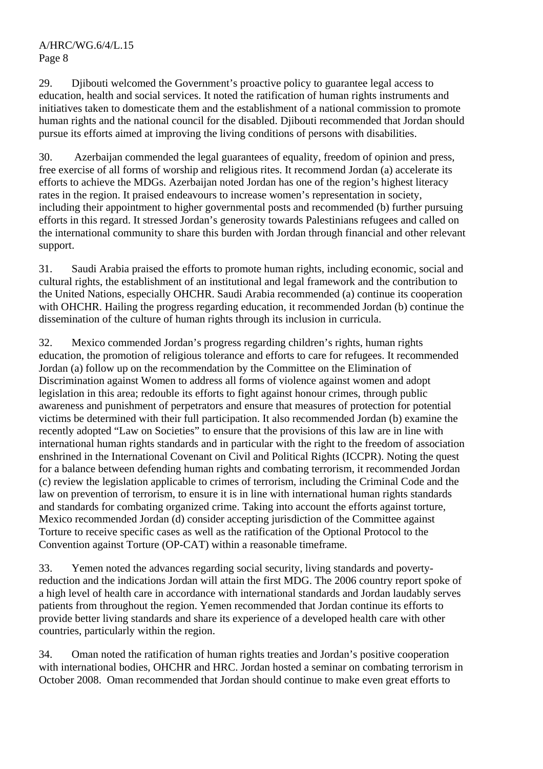29. Djibouti welcomed the Government's proactive policy to guarantee legal access to education, health and social services. It noted the ratification of human rights instruments and initiatives taken to domesticate them and the establishment of a national commission to promote human rights and the national council for the disabled. Djibouti recommended that Jordan should pursue its efforts aimed at improving the living conditions of persons with disabilities.

30. Azerbaijan commended the legal guarantees of equality, freedom of opinion and press, free exercise of all forms of worship and religious rites. It recommend Jordan (a) accelerate its efforts to achieve the MDGs. Azerbaijan noted Jordan has one of the region's highest literacy rates in the region. It praised endeavours to increase women's representation in society, including their appointment to higher governmental posts and recommended (b) further pursuing efforts in this regard. It stressed Jordan's generosity towards Palestinians refugees and called on the international community to share this burden with Jordan through financial and other relevant support.

31. Saudi Arabia praised the efforts to promote human rights, including economic, social and cultural rights, the establishment of an institutional and legal framework and the contribution to the United Nations, especially OHCHR. Saudi Arabia recommended (a) continue its cooperation with OHCHR. Hailing the progress regarding education, it recommended Jordan (b) continue the dissemination of the culture of human rights through its inclusion in curricula.

32. Mexico commended Jordan's progress regarding children's rights, human rights education, the promotion of religious tolerance and efforts to care for refugees. It recommended Jordan (a) follow up on the recommendation by the Committee on the Elimination of Discrimination against Women to address all forms of violence against women and adopt legislation in this area; redouble its efforts to fight against honour crimes, through public awareness and punishment of perpetrators and ensure that measures of protection for potential victims be determined with their full participation. It also recommended Jordan (b) examine the recently adopted "Law on Societies" to ensure that the provisions of this law are in line with international human rights standards and in particular with the right to the freedom of association enshrined in the International Covenant on Civil and Political Rights (ICCPR). Noting the quest for a balance between defending human rights and combating terrorism, it recommended Jordan (c) review the legislation applicable to crimes of terrorism, including the Criminal Code and the law on prevention of terrorism, to ensure it is in line with international human rights standards and standards for combating organized crime. Taking into account the efforts against torture, Mexico recommended Jordan (d) consider accepting jurisdiction of the Committee against Torture to receive specific cases as well as the ratification of the Optional Protocol to the Convention against Torture (OP-CAT) within a reasonable timeframe.

33. Yemen noted the advances regarding social security, living standards and povertyreduction and the indications Jordan will attain the first MDG. The 2006 country report spoke of a high level of health care in accordance with international standards and Jordan laudably serves patients from throughout the region. Yemen recommended that Jordan continue its efforts to provide better living standards and share its experience of a developed health care with other countries, particularly within the region.

34. Oman noted the ratification of human rights treaties and Jordan's positive cooperation with international bodies, OHCHR and HRC. Jordan hosted a seminar on combating terrorism in October 2008. Oman recommended that Jordan should continue to make even great efforts to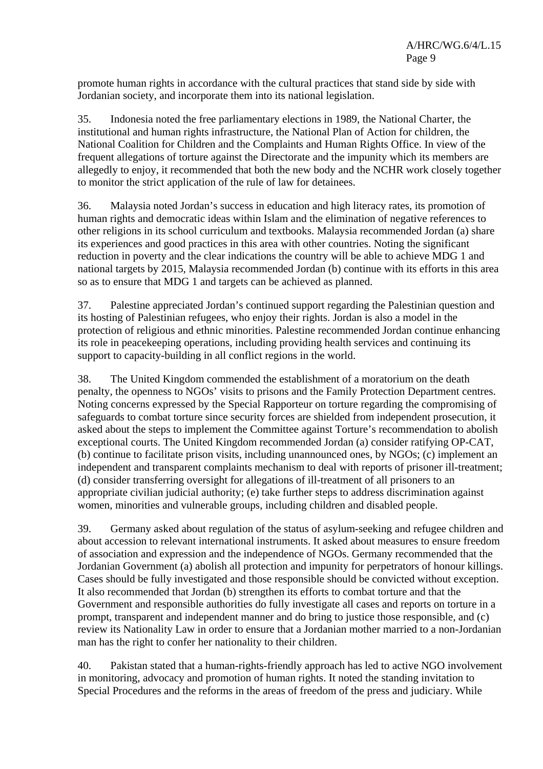promote human rights in accordance with the cultural practices that stand side by side with Jordanian society, and incorporate them into its national legislation.

35. Indonesia noted the free parliamentary elections in 1989, the National Charter, the institutional and human rights infrastructure, the National Plan of Action for children, the National Coalition for Children and the Complaints and Human Rights Office. In view of the frequent allegations of torture against the Directorate and the impunity which its members are allegedly to enjoy, it recommended that both the new body and the NCHR work closely together to monitor the strict application of the rule of law for detainees.

36. Malaysia noted Jordan's success in education and high literacy rates, its promotion of human rights and democratic ideas within Islam and the elimination of negative references to other religions in its school curriculum and textbooks. Malaysia recommended Jordan (a) share its experiences and good practices in this area with other countries. Noting the significant reduction in poverty and the clear indications the country will be able to achieve MDG 1 and national targets by 2015, Malaysia recommended Jordan (b) continue with its efforts in this area so as to ensure that MDG 1 and targets can be achieved as planned.

37. Palestine appreciated Jordan's continued support regarding the Palestinian question and its hosting of Palestinian refugees, who enjoy their rights. Jordan is also a model in the protection of religious and ethnic minorities. Palestine recommended Jordan continue enhancing its role in peacekeeping operations, including providing health services and continuing its support to capacity-building in all conflict regions in the world.

38. The United Kingdom commended the establishment of a moratorium on the death penalty, the openness to NGOs' visits to prisons and the Family Protection Department centres. Noting concerns expressed by the Special Rapporteur on torture regarding the compromising of safeguards to combat torture since security forces are shielded from independent prosecution, it asked about the steps to implement the Committee against Torture's recommendation to abolish exceptional courts. The United Kingdom recommended Jordan (a) consider ratifying OP-CAT, (b) continue to facilitate prison visits, including unannounced ones, by NGOs; (c) implement an independent and transparent complaints mechanism to deal with reports of prisoner ill-treatment; (d) consider transferring oversight for allegations of ill-treatment of all prisoners to an appropriate civilian judicial authority; (e) take further steps to address discrimination against women, minorities and vulnerable groups, including children and disabled people.

39. Germany asked about regulation of the status of asylum-seeking and refugee children and about accession to relevant international instruments. It asked about measures to ensure freedom of association and expression and the independence of NGOs. Germany recommended that the Jordanian Government (a) abolish all protection and impunity for perpetrators of honour killings. Cases should be fully investigated and those responsible should be convicted without exception. It also recommended that Jordan (b) strengthen its efforts to combat torture and that the Government and responsible authorities do fully investigate all cases and reports on torture in a prompt, transparent and independent manner and do bring to justice those responsible, and (c) review its Nationality Law in order to ensure that a Jordanian mother married to a non-Jordanian man has the right to confer her nationality to their children.

40. Pakistan stated that a human-rights-friendly approach has led to active NGO involvement in monitoring, advocacy and promotion of human rights. It noted the standing invitation to Special Procedures and the reforms in the areas of freedom of the press and judiciary. While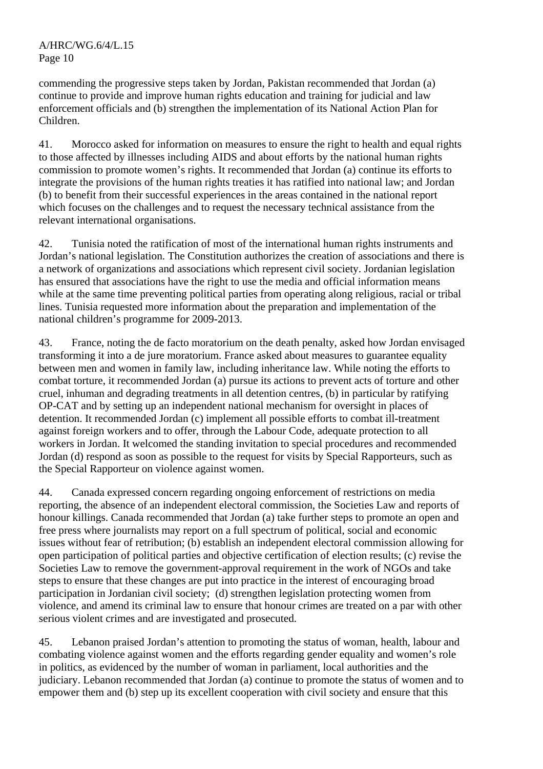commending the progressive steps taken by Jordan, Pakistan recommended that Jordan (a) continue to provide and improve human rights education and training for judicial and law enforcement officials and (b) strengthen the implementation of its National Action Plan for Children.

41. Morocco asked for information on measures to ensure the right to health and equal rights to those affected by illnesses including AIDS and about efforts by the national human rights commission to promote women's rights. It recommended that Jordan (a) continue its efforts to integrate the provisions of the human rights treaties it has ratified into national law; and Jordan (b) to benefit from their successful experiences in the areas contained in the national report which focuses on the challenges and to request the necessary technical assistance from the relevant international organisations.

42. Tunisia noted the ratification of most of the international human rights instruments and Jordan's national legislation. The Constitution authorizes the creation of associations and there is a network of organizations and associations which represent civil society. Jordanian legislation has ensured that associations have the right to use the media and official information means while at the same time preventing political parties from operating along religious, racial or tribal lines. Tunisia requested more information about the preparation and implementation of the national children's programme for 2009-2013.

43. France, noting the de facto moratorium on the death penalty, asked how Jordan envisaged transforming it into a de jure moratorium. France asked about measures to guarantee equality between men and women in family law, including inheritance law. While noting the efforts to combat torture, it recommended Jordan (a) pursue its actions to prevent acts of torture and other cruel, inhuman and degrading treatments in all detention centres, (b) in particular by ratifying OP-CAT and by setting up an independent national mechanism for oversight in places of detention. It recommended Jordan (c) implement all possible efforts to combat ill-treatment against foreign workers and to offer, through the Labour Code, adequate protection to all workers in Jordan. It welcomed the standing invitation to special procedures and recommended Jordan (d) respond as soon as possible to the request for visits by Special Rapporteurs, such as the Special Rapporteur on violence against women.

44. Canada expressed concern regarding ongoing enforcement of restrictions on media reporting, the absence of an independent electoral commission, the Societies Law and reports of honour killings. Canada recommended that Jordan (a) take further steps to promote an open and free press where journalists may report on a full spectrum of political, social and economic issues without fear of retribution; (b) establish an independent electoral commission allowing for open participation of political parties and objective certification of election results; (c) revise the Societies Law to remove the government-approval requirement in the work of NGOs and take steps to ensure that these changes are put into practice in the interest of encouraging broad participation in Jordanian civil society; (d) strengthen legislation protecting women from violence, and amend its criminal law to ensure that honour crimes are treated on a par with other serious violent crimes and are investigated and prosecuted.

45. Lebanon praised Jordan's attention to promoting the status of woman, health, labour and combating violence against women and the efforts regarding gender equality and women's role in politics, as evidenced by the number of woman in parliament, local authorities and the judiciary. Lebanon recommended that Jordan (a) continue to promote the status of women and to empower them and (b) step up its excellent cooperation with civil society and ensure that this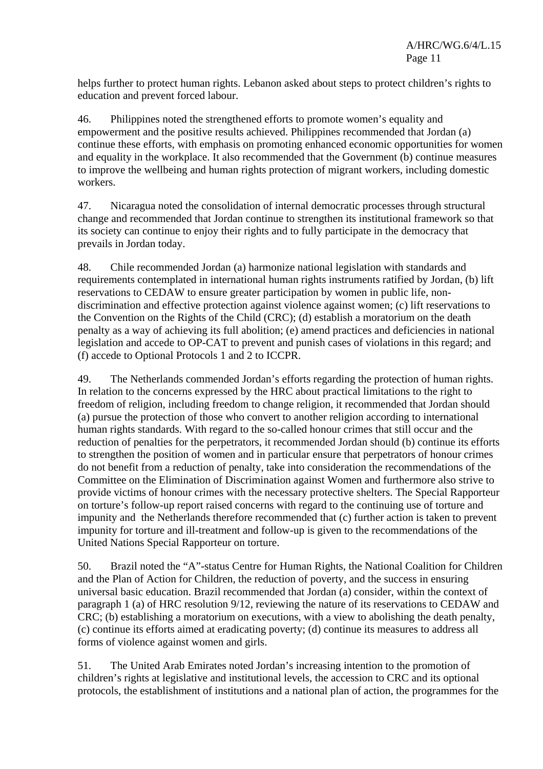helps further to protect human rights. Lebanon asked about steps to protect children's rights to education and prevent forced labour.

46. Philippines noted the strengthened efforts to promote women's equality and empowerment and the positive results achieved. Philippines recommended that Jordan (a) continue these efforts, with emphasis on promoting enhanced economic opportunities for women and equality in the workplace. It also recommended that the Government (b) continue measures to improve the wellbeing and human rights protection of migrant workers, including domestic workers.

47. Nicaragua noted the consolidation of internal democratic processes through structural change and recommended that Jordan continue to strengthen its institutional framework so that its society can continue to enjoy their rights and to fully participate in the democracy that prevails in Jordan today.

48. Chile recommended Jordan (a) harmonize national legislation with standards and requirements contemplated in international human rights instruments ratified by Jordan, (b) lift reservations to CEDAW to ensure greater participation by women in public life, nondiscrimination and effective protection against violence against women; (c) lift reservations to the Convention on the Rights of the Child (CRC); (d) establish a moratorium on the death penalty as a way of achieving its full abolition; (e) amend practices and deficiencies in national legislation and accede to OP-CAT to prevent and punish cases of violations in this regard; and (f) accede to Optional Protocols 1 and 2 to ICCPR.

49. The Netherlands commended Jordan's efforts regarding the protection of human rights. In relation to the concerns expressed by the HRC about practical limitations to the right to freedom of religion, including freedom to change religion, it recommended that Jordan should (a) pursue the protection of those who convert to another religion according to international human rights standards. With regard to the so-called honour crimes that still occur and the reduction of penalties for the perpetrators, it recommended Jordan should (b) continue its efforts to strengthen the position of women and in particular ensure that perpetrators of honour crimes do not benefit from a reduction of penalty, take into consideration the recommendations of the Committee on the Elimination of Discrimination against Women and furthermore also strive to provide victims of honour crimes with the necessary protective shelters. The Special Rapporteur on torture's follow-up report raised concerns with regard to the continuing use of torture and impunity and the Netherlands therefore recommended that (c) further action is taken to prevent impunity for torture and ill-treatment and follow-up is given to the recommendations of the United Nations Special Rapporteur on torture.

50. Brazil noted the "A"-status Centre for Human Rights, the National Coalition for Children and the Plan of Action for Children, the reduction of poverty, and the success in ensuring universal basic education. Brazil recommended that Jordan (a) consider, within the context of paragraph 1 (a) of HRC resolution 9/12, reviewing the nature of its reservations to CEDAW and CRC; (b) establishing a moratorium on executions, with a view to abolishing the death penalty, (c) continue its efforts aimed at eradicating poverty; (d) continue its measures to address all forms of violence against women and girls.

51. The United Arab Emirates noted Jordan's increasing intention to the promotion of children's rights at legislative and institutional levels, the accession to CRC and its optional protocols, the establishment of institutions and a national plan of action, the programmes for the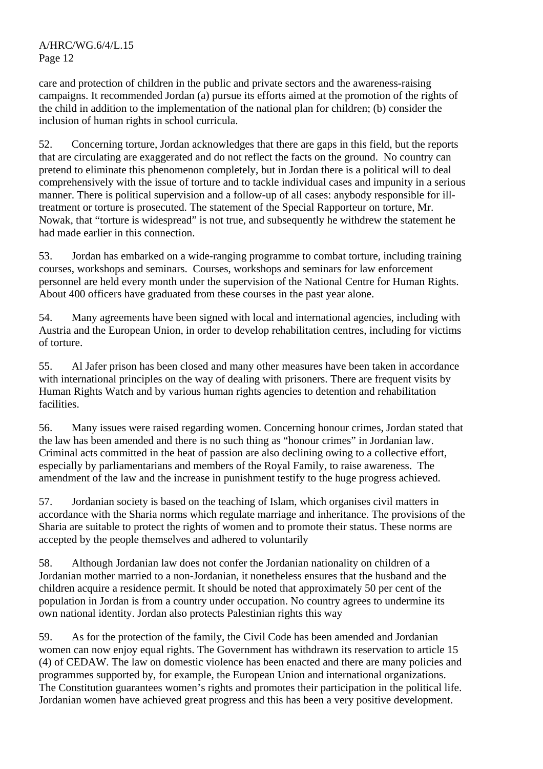care and protection of children in the public and private sectors and the awareness-raising campaigns. It recommended Jordan (a) pursue its efforts aimed at the promotion of the rights of the child in addition to the implementation of the national plan for children; (b) consider the inclusion of human rights in school curricula.

52. Concerning torture, Jordan acknowledges that there are gaps in this field, but the reports that are circulating are exaggerated and do not reflect the facts on the ground. No country can pretend to eliminate this phenomenon completely, but in Jordan there is a political will to deal comprehensively with the issue of torture and to tackle individual cases and impunity in a serious manner. There is political supervision and a follow-up of all cases: anybody responsible for illtreatment or torture is prosecuted. The statement of the Special Rapporteur on torture, Mr. Nowak, that "torture is widespread" is not true, and subsequently he withdrew the statement he had made earlier in this connection.

53. Jordan has embarked on a wide-ranging programme to combat torture, including training courses, workshops and seminars. Courses, workshops and seminars for law enforcement personnel are held every month under the supervision of the National Centre for Human Rights. About 400 officers have graduated from these courses in the past year alone.

54. Many agreements have been signed with local and international agencies, including with Austria and the European Union, in order to develop rehabilitation centres, including for victims of torture.

55. Al Jafer prison has been closed and many other measures have been taken in accordance with international principles on the way of dealing with prisoners. There are frequent visits by Human Rights Watch and by various human rights agencies to detention and rehabilitation facilities.

56. Many issues were raised regarding women. Concerning honour crimes, Jordan stated that the law has been amended and there is no such thing as "honour crimes" in Jordanian law. Criminal acts committed in the heat of passion are also declining owing to a collective effort, especially by parliamentarians and members of the Royal Family, to raise awareness. The amendment of the law and the increase in punishment testify to the huge progress achieved.

57. Jordanian society is based on the teaching of Islam, which organises civil matters in accordance with the Sharia norms which regulate marriage and inheritance. The provisions of the Sharia are suitable to protect the rights of women and to promote their status. These norms are accepted by the people themselves and adhered to voluntarily

58. Although Jordanian law does not confer the Jordanian nationality on children of a Jordanian mother married to a non-Jordanian, it nonetheless ensures that the husband and the children acquire a residence permit. It should be noted that approximately 50 per cent of the population in Jordan is from a country under occupation. No country agrees to undermine its own national identity. Jordan also protects Palestinian rights this way

59. As for the protection of the family, the Civil Code has been amended and Jordanian women can now enjoy equal rights. The Government has withdrawn its reservation to article 15 (4) of CEDAW. The law on domestic violence has been enacted and there are many policies and programmes supported by, for example, the European Union and international organizations. The Constitution guarantees women's rights and promotes their participation in the political life. Jordanian women have achieved great progress and this has been a very positive development.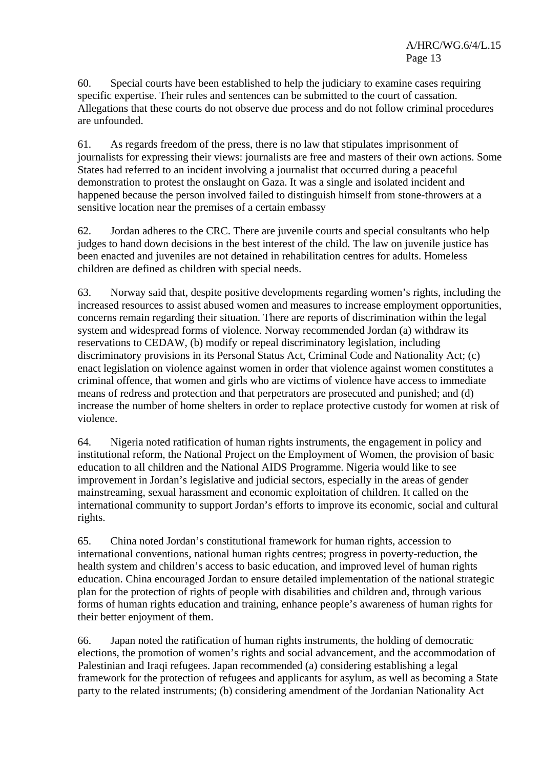60. Special courts have been established to help the judiciary to examine cases requiring specific expertise. Their rules and sentences can be submitted to the court of cassation. Allegations that these courts do not observe due process and do not follow criminal procedures are unfounded.

61. As regards freedom of the press, there is no law that stipulates imprisonment of journalists for expressing their views: journalists are free and masters of their own actions. Some States had referred to an incident involving a journalist that occurred during a peaceful demonstration to protest the onslaught on Gaza. It was a single and isolated incident and happened because the person involved failed to distinguish himself from stone-throwers at a sensitive location near the premises of a certain embassy

62. Jordan adheres to the CRC. There are juvenile courts and special consultants who help judges to hand down decisions in the best interest of the child. The law on juvenile justice has been enacted and juveniles are not detained in rehabilitation centres for adults. Homeless children are defined as children with special needs.

63. Norway said that, despite positive developments regarding women's rights, including the increased resources to assist abused women and measures to increase employment opportunities, concerns remain regarding their situation. There are reports of discrimination within the legal system and widespread forms of violence. Norway recommended Jordan (a) withdraw its reservations to CEDAW, (b) modify or repeal discriminatory legislation, including discriminatory provisions in its Personal Status Act, Criminal Code and Nationality Act; (c) enact legislation on violence against women in order that violence against women constitutes a criminal offence, that women and girls who are victims of violence have access to immediate means of redress and protection and that perpetrators are prosecuted and punished; and (d) increase the number of home shelters in order to replace protective custody for women at risk of violence.

64. Nigeria noted ratification of human rights instruments, the engagement in policy and institutional reform, the National Project on the Employment of Women, the provision of basic education to all children and the National AIDS Programme. Nigeria would like to see improvement in Jordan's legislative and judicial sectors, especially in the areas of gender mainstreaming, sexual harassment and economic exploitation of children. It called on the international community to support Jordan's efforts to improve its economic, social and cultural rights.

65. China noted Jordan's constitutional framework for human rights, accession to international conventions, national human rights centres; progress in poverty-reduction, the health system and children's access to basic education, and improved level of human rights education. China encouraged Jordan to ensure detailed implementation of the national strategic plan for the protection of rights of people with disabilities and children and, through various forms of human rights education and training, enhance people's awareness of human rights for their better enjoyment of them.

66. Japan noted the ratification of human rights instruments, the holding of democratic elections, the promotion of women's rights and social advancement, and the accommodation of Palestinian and Iraqi refugees. Japan recommended (a) considering establishing a legal framework for the protection of refugees and applicants for asylum, as well as becoming a State party to the related instruments; (b) considering amendment of the Jordanian Nationality Act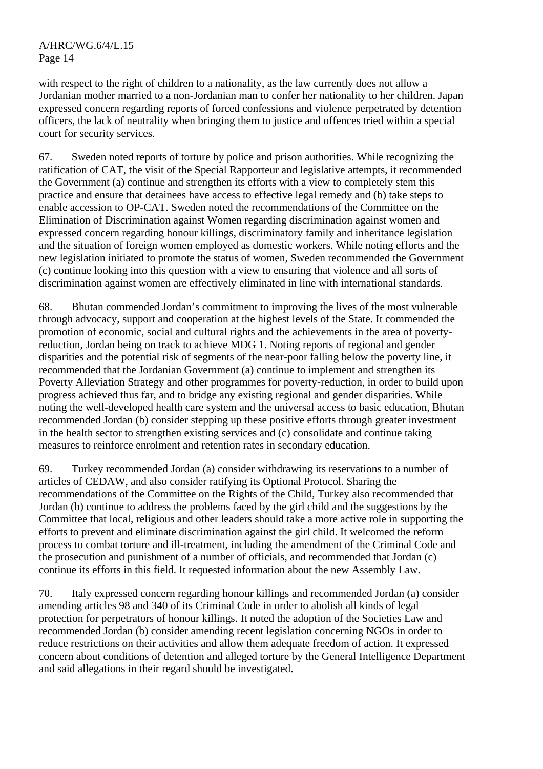with respect to the right of children to a nationality, as the law currently does not allow a Jordanian mother married to a non-Jordanian man to confer her nationality to her children. Japan expressed concern regarding reports of forced confessions and violence perpetrated by detention officers, the lack of neutrality when bringing them to justice and offences tried within a special court for security services.

67. Sweden noted reports of torture by police and prison authorities. While recognizing the ratification of CAT, the visit of the Special Rapporteur and legislative attempts, it recommended the Government (a) continue and strengthen its efforts with a view to completely stem this practice and ensure that detainees have access to effective legal remedy and (b) take steps to enable accession to OP-CAT. Sweden noted the recommendations of the Committee on the Elimination of Discrimination against Women regarding discrimination against women and expressed concern regarding honour killings, discriminatory family and inheritance legislation and the situation of foreign women employed as domestic workers. While noting efforts and the new legislation initiated to promote the status of women, Sweden recommended the Government (c) continue looking into this question with a view to ensuring that violence and all sorts of discrimination against women are effectively eliminated in line with international standards.

68. Bhutan commended Jordan's commitment to improving the lives of the most vulnerable through advocacy, support and cooperation at the highest levels of the State. It commended the promotion of economic, social and cultural rights and the achievements in the area of povertyreduction, Jordan being on track to achieve MDG 1. Noting reports of regional and gender disparities and the potential risk of segments of the near-poor falling below the poverty line, it recommended that the Jordanian Government (a) continue to implement and strengthen its Poverty Alleviation Strategy and other programmes for poverty-reduction, in order to build upon progress achieved thus far, and to bridge any existing regional and gender disparities. While noting the well-developed health care system and the universal access to basic education, Bhutan recommended Jordan (b) consider stepping up these positive efforts through greater investment in the health sector to strengthen existing services and (c) consolidate and continue taking measures to reinforce enrolment and retention rates in secondary education.

69. Turkey recommended Jordan (a) consider withdrawing its reservations to a number of articles of CEDAW, and also consider ratifying its Optional Protocol. Sharing the recommendations of the Committee on the Rights of the Child, Turkey also recommended that Jordan (b) continue to address the problems faced by the girl child and the suggestions by the Committee that local, religious and other leaders should take a more active role in supporting the efforts to prevent and eliminate discrimination against the girl child. It welcomed the reform process to combat torture and ill-treatment, including the amendment of the Criminal Code and the prosecution and punishment of a number of officials, and recommended that Jordan (c) continue its efforts in this field. It requested information about the new Assembly Law.

70. Italy expressed concern regarding honour killings and recommended Jordan (a) consider amending articles 98 and 340 of its Criminal Code in order to abolish all kinds of legal protection for perpetrators of honour killings. It noted the adoption of the Societies Law and recommended Jordan (b) consider amending recent legislation concerning NGOs in order to reduce restrictions on their activities and allow them adequate freedom of action. It expressed concern about conditions of detention and alleged torture by the General Intelligence Department and said allegations in their regard should be investigated.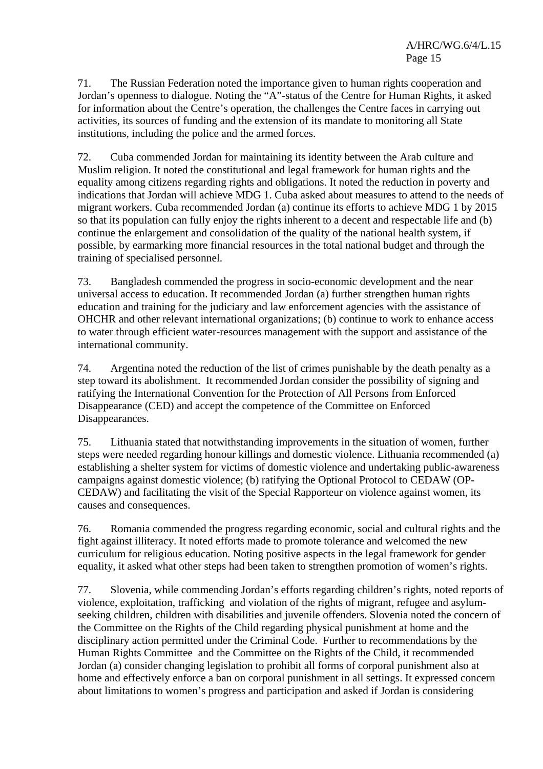71. The Russian Federation noted the importance given to human rights cooperation and Jordan's openness to dialogue. Noting the "A"-status of the Centre for Human Rights, it asked for information about the Centre's operation, the challenges the Centre faces in carrying out activities, its sources of funding and the extension of its mandate to monitoring all State institutions, including the police and the armed forces.

72. Cuba commended Jordan for maintaining its identity between the Arab culture and Muslim religion. It noted the constitutional and legal framework for human rights and the equality among citizens regarding rights and obligations. It noted the reduction in poverty and indications that Jordan will achieve MDG 1. Cuba asked about measures to attend to the needs of migrant workers. Cuba recommended Jordan (a) continue its efforts to achieve MDG 1 by 2015 so that its population can fully enjoy the rights inherent to a decent and respectable life and (b) continue the enlargement and consolidation of the quality of the national health system, if possible, by earmarking more financial resources in the total national budget and through the training of specialised personnel.

73. Bangladesh commended the progress in socio-economic development and the near universal access to education. It recommended Jordan (a) further strengthen human rights education and training for the judiciary and law enforcement agencies with the assistance of OHCHR and other relevant international organizations; (b) continue to work to enhance access to water through efficient water-resources management with the support and assistance of the international community.

74. Argentina noted the reduction of the list of crimes punishable by the death penalty as a step toward its abolishment. It recommended Jordan consider the possibility of signing and ratifying the International Convention for the Protection of All Persons from Enforced Disappearance (CED) and accept the competence of the Committee on Enforced Disappearances.

75. Lithuania stated that notwithstanding improvements in the situation of women, further steps were needed regarding honour killings and domestic violence. Lithuania recommended (a) establishing a shelter system for victims of domestic violence and undertaking public-awareness campaigns against domestic violence; (b) ratifying the Optional Protocol to CEDAW (OP-CEDAW) and facilitating the visit of the Special Rapporteur on violence against women, its causes and consequences.

76. Romania commended the progress regarding economic, social and cultural rights and the fight against illiteracy. It noted efforts made to promote tolerance and welcomed the new curriculum for religious education. Noting positive aspects in the legal framework for gender equality, it asked what other steps had been taken to strengthen promotion of women's rights.

77. Slovenia, while commending Jordan's efforts regarding children's rights, noted reports of violence, exploitation, trafficking and violation of the rights of migrant, refugee and asylumseeking children, children with disabilities and juvenile offenders. Slovenia noted the concern of the Committee on the Rights of the Child regarding physical punishment at home and the disciplinary action permitted under the Criminal Code. Further to recommendations by the Human Rights Committee and the Committee on the Rights of the Child, it recommended Jordan (a) consider changing legislation to prohibit all forms of corporal punishment also at home and effectively enforce a ban on corporal punishment in all settings. It expressed concern about limitations to women's progress and participation and asked if Jordan is considering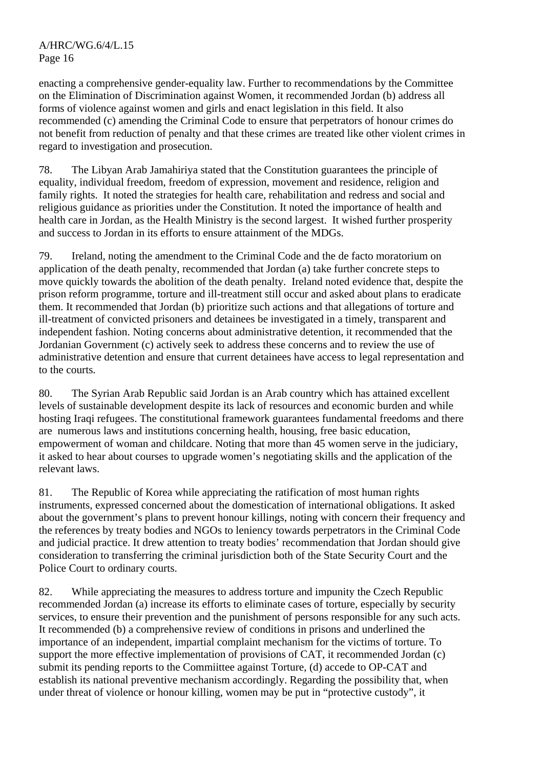enacting a comprehensive gender-equality law. Further to recommendations by the Committee on the Elimination of Discrimination against Women, it recommended Jordan (b) address all forms of violence against women and girls and enact legislation in this field. It also recommended (c) amending the Criminal Code to ensure that perpetrators of honour crimes do not benefit from reduction of penalty and that these crimes are treated like other violent crimes in regard to investigation and prosecution.

78. The Libyan Arab Jamahiriya stated that the Constitution guarantees the principle of equality, individual freedom, freedom of expression, movement and residence, religion and family rights. It noted the strategies for health care, rehabilitation and redress and social and religious guidance as priorities under the Constitution. It noted the importance of health and health care in Jordan, as the Health Ministry is the second largest. It wished further prosperity and success to Jordan in its efforts to ensure attainment of the MDGs.

79. Ireland, noting the amendment to the Criminal Code and the de facto moratorium on application of the death penalty, recommended that Jordan (a) take further concrete steps to move quickly towards the abolition of the death penalty. Ireland noted evidence that, despite the prison reform programme, torture and ill-treatment still occur and asked about plans to eradicate them. It recommended that Jordan (b) prioritize such actions and that allegations of torture and ill-treatment of convicted prisoners and detainees be investigated in a timely, transparent and independent fashion. Noting concerns about administrative detention, it recommended that the Jordanian Government (c) actively seek to address these concerns and to review the use of administrative detention and ensure that current detainees have access to legal representation and to the courts.

80. The Syrian Arab Republic said Jordan is an Arab country which has attained excellent levels of sustainable development despite its lack of resources and economic burden and while hosting Iraqi refugees. The constitutional framework guarantees fundamental freedoms and there are numerous laws and institutions concerning health, housing, free basic education, empowerment of woman and childcare. Noting that more than 45 women serve in the judiciary, it asked to hear about courses to upgrade women's negotiating skills and the application of the relevant laws.

81. The Republic of Korea while appreciating the ratification of most human rights instruments, expressed concerned about the domestication of international obligations. It asked about the government's plans to prevent honour killings, noting with concern their frequency and the references by treaty bodies and NGOs to leniency towards perpetrators in the Criminal Code and judicial practice. It drew attention to treaty bodies' recommendation that Jordan should give consideration to transferring the criminal jurisdiction both of the State Security Court and the Police Court to ordinary courts.

82. While appreciating the measures to address torture and impunity the Czech Republic recommended Jordan (a) increase its efforts to eliminate cases of torture, especially by security services, to ensure their prevention and the punishment of persons responsible for any such acts. It recommended (b) a comprehensive review of conditions in prisons and underlined the importance of an independent, impartial complaint mechanism for the victims of torture. To support the more effective implementation of provisions of CAT, it recommended Jordan (c) submit its pending reports to the Commiittee against Torture, (d) accede to OP-CAT and establish its national preventive mechanism accordingly. Regarding the possibility that, when under threat of violence or honour killing, women may be put in "protective custody", it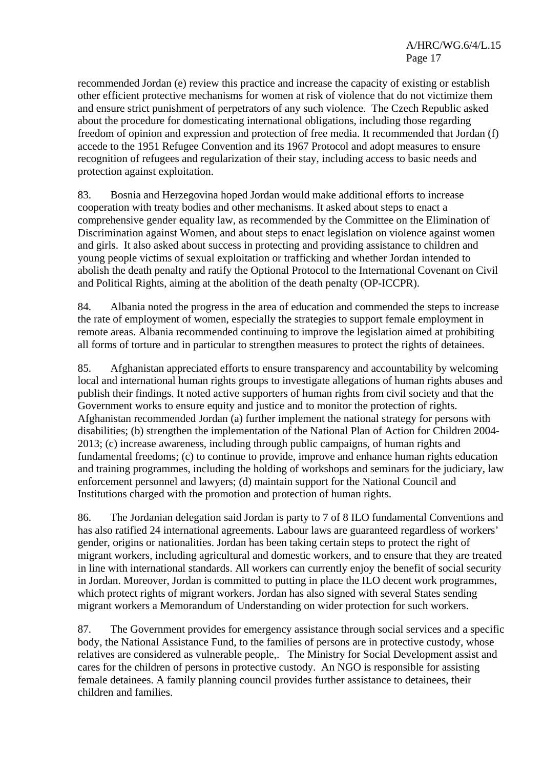recommended Jordan (e) review this practice and increase the capacity of existing or establish other efficient protective mechanisms for women at risk of violence that do not victimize them and ensure strict punishment of perpetrators of any such violence. The Czech Republic asked about the procedure for domesticating international obligations, including those regarding freedom of opinion and expression and protection of free media. It recommended that Jordan (f) accede to the 1951 Refugee Convention and its 1967 Protocol and adopt measures to ensure recognition of refugees and regularization of their stay, including access to basic needs and protection against exploitation.

83. Bosnia and Herzegovina hoped Jordan would make additional efforts to increase cooperation with treaty bodies and other mechanisms. It asked about steps to enact a comprehensive gender equality law, as recommended by the Committee on the Elimination of Discrimination against Women, and about steps to enact legislation on violence against women and girls. It also asked about success in protecting and providing assistance to children and young people victims of sexual exploitation or trafficking and whether Jordan intended to abolish the death penalty and ratify the Optional Protocol to the International Covenant on Civil and Political Rights, aiming at the abolition of the death penalty (OP-ICCPR).

84. Albania noted the progress in the area of education and commended the steps to increase the rate of employment of women, especially the strategies to support female employment in remote areas. Albania recommended continuing to improve the legislation aimed at prohibiting all forms of torture and in particular to strengthen measures to protect the rights of detainees.

85. Afghanistan appreciated efforts to ensure transparency and accountability by welcoming local and international human rights groups to investigate allegations of human rights abuses and publish their findings. It noted active supporters of human rights from civil society and that the Government works to ensure equity and justice and to monitor the protection of rights. Afghanistan recommended Jordan (a) further implement the national strategy for persons with disabilities; (b) strengthen the implementation of the National Plan of Action for Children 2004- 2013; (c) increase awareness, including through public campaigns, of human rights and fundamental freedoms; (c) to continue to provide, improve and enhance human rights education and training programmes, including the holding of workshops and seminars for the judiciary, law enforcement personnel and lawyers; (d) maintain support for the National Council and Institutions charged with the promotion and protection of human rights.

86. The Jordanian delegation said Jordan is party to 7 of 8 ILO fundamental Conventions and has also ratified 24 international agreements. Labour laws are guaranteed regardless of workers' gender, origins or nationalities. Jordan has been taking certain steps to protect the right of migrant workers, including agricultural and domestic workers, and to ensure that they are treated in line with international standards. All workers can currently enjoy the benefit of social security in Jordan. Moreover, Jordan is committed to putting in place the ILO decent work programmes, which protect rights of migrant workers. Jordan has also signed with several States sending migrant workers a Memorandum of Understanding on wider protection for such workers.

87. The Government provides for emergency assistance through social services and a specific body, the National Assistance Fund, to the families of persons are in protective custody, whose relatives are considered as vulnerable people,. The Ministry for Social Development assist and cares for the children of persons in protective custody. An NGO is responsible for assisting female detainees. A family planning council provides further assistance to detainees, their children and families.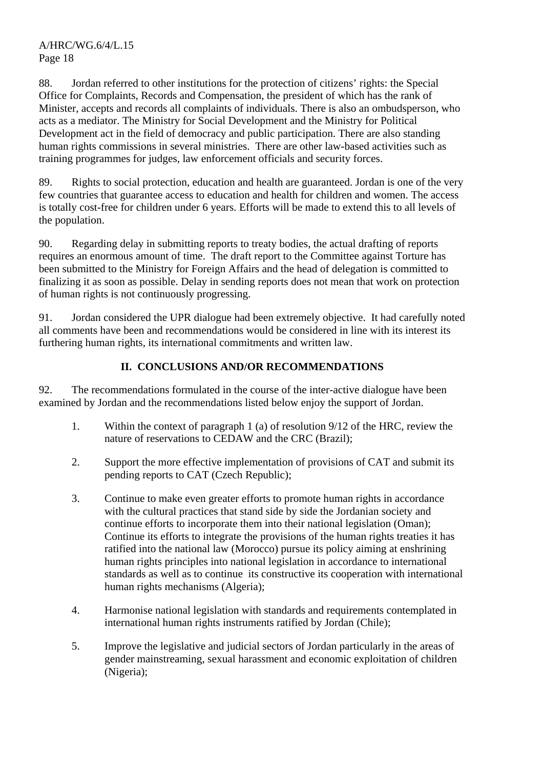88. Jordan referred to other institutions for the protection of citizens' rights: the Special Office for Complaints, Records and Compensation, the president of which has the rank of Minister, accepts and records all complaints of individuals. There is also an ombudsperson, who acts as a mediator. The Ministry for Social Development and the Ministry for Political Development act in the field of democracy and public participation. There are also standing human rights commissions in several ministries. There are other law-based activities such as training programmes for judges, law enforcement officials and security forces.

89. Rights to social protection, education and health are guaranteed. Jordan is one of the very few countries that guarantee access to education and health for children and women. The access is totally cost-free for children under 6 years. Efforts will be made to extend this to all levels of the population.

90. Regarding delay in submitting reports to treaty bodies, the actual drafting of reports requires an enormous amount of time. The draft report to the Committee against Torture has been submitted to the Ministry for Foreign Affairs and the head of delegation is committed to finalizing it as soon as possible. Delay in sending reports does not mean that work on protection of human rights is not continuously progressing.

91. Jordan considered the UPR dialogue had been extremely objective. It had carefully noted all comments have been and recommendations would be considered in line with its interest its furthering human rights, its international commitments and written law.

# **II. CONCLUSIONS AND/OR RECOMMENDATIONS**

92. The recommendations formulated in the course of the inter-active dialogue have been examined by Jordan and the recommendations listed below enjoy the support of Jordan.

- 1. Within the context of paragraph 1 (a) of resolution 9/12 of the HRC, review the nature of reservations to CEDAW and the CRC (Brazil);
- 2. Support the more effective implementation of provisions of CAT and submit its pending reports to CAT (Czech Republic);
- 3. Continue to make even greater efforts to promote human rights in accordance with the cultural practices that stand side by side the Jordanian society and continue efforts to incorporate them into their national legislation (Oman); Continue its efforts to integrate the provisions of the human rights treaties it has ratified into the national law (Morocco) pursue its policy aiming at enshrining human rights principles into national legislation in accordance to international standards as well as to continue its constructive its cooperation with international human rights mechanisms (Algeria);
- 4. Harmonise national legislation with standards and requirements contemplated in international human rights instruments ratified by Jordan (Chile);
- 5. Improve the legislative and judicial sectors of Jordan particularly in the areas of gender mainstreaming, sexual harassment and economic exploitation of children (Nigeria);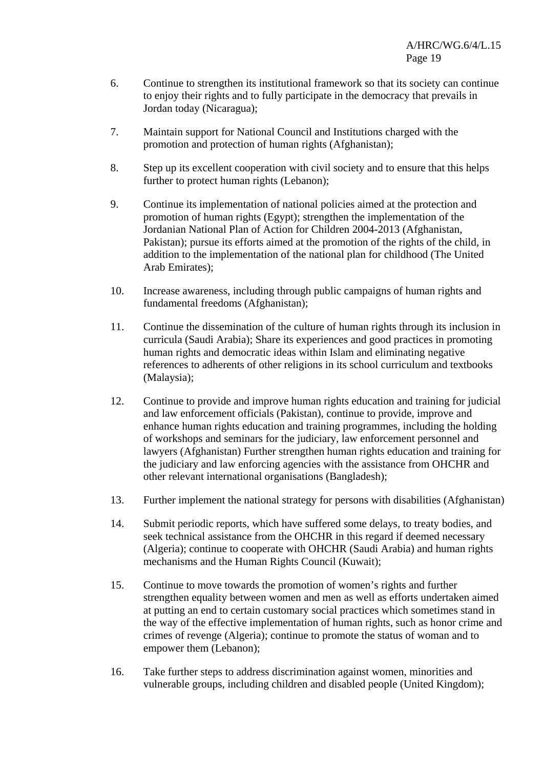- 6. Continue to strengthen its institutional framework so that its society can continue to enjoy their rights and to fully participate in the democracy that prevails in Jordan today (Nicaragua);
- 7. Maintain support for National Council and Institutions charged with the promotion and protection of human rights (Afghanistan);
- 8. Step up its excellent cooperation with civil society and to ensure that this helps further to protect human rights (Lebanon);
- 9. Continue its implementation of national policies aimed at the protection and promotion of human rights (Egypt); strengthen the implementation of the Jordanian National Plan of Action for Children 2004-2013 (Afghanistan, Pakistan); pursue its efforts aimed at the promotion of the rights of the child, in addition to the implementation of the national plan for childhood (The United Arab Emirates);
- 10. Increase awareness, including through public campaigns of human rights and fundamental freedoms (Afghanistan);
- 11. Continue the dissemination of the culture of human rights through its inclusion in curricula (Saudi Arabia); Share its experiences and good practices in promoting human rights and democratic ideas within Islam and eliminating negative references to adherents of other religions in its school curriculum and textbooks (Malaysia);
- 12. Continue to provide and improve human rights education and training for judicial and law enforcement officials (Pakistan), continue to provide, improve and enhance human rights education and training programmes, including the holding of workshops and seminars for the judiciary, law enforcement personnel and lawyers (Afghanistan) Further strengthen human rights education and training for the judiciary and law enforcing agencies with the assistance from OHCHR and other relevant international organisations (Bangladesh);
- 13. Further implement the national strategy for persons with disabilities (Afghanistan)
- 14. Submit periodic reports, which have suffered some delays, to treaty bodies, and seek technical assistance from the OHCHR in this regard if deemed necessary (Algeria); continue to cooperate with OHCHR (Saudi Arabia) and human rights mechanisms and the Human Rights Council (Kuwait);
- 15. Continue to move towards the promotion of women's rights and further strengthen equality between women and men as well as efforts undertaken aimed at putting an end to certain customary social practices which sometimes stand in the way of the effective implementation of human rights, such as honor crime and crimes of revenge (Algeria); continue to promote the status of woman and to empower them (Lebanon);
- 16. Take further steps to address discrimination against women, minorities and vulnerable groups, including children and disabled people (United Kingdom);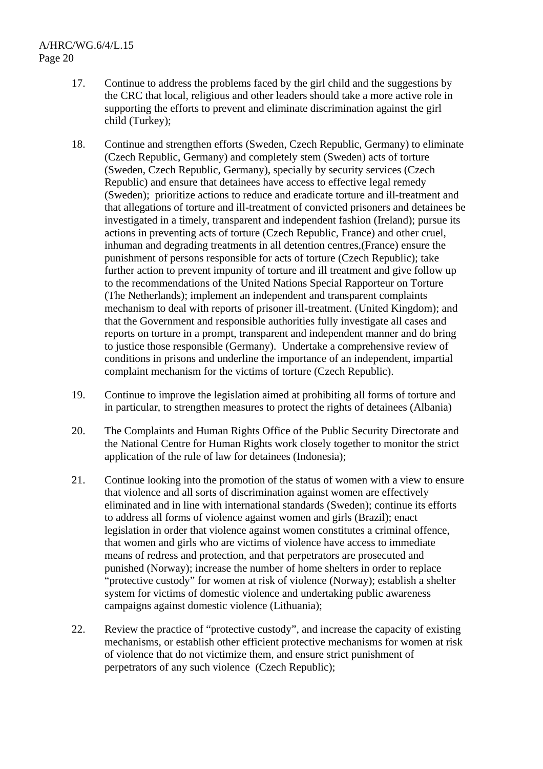- 17. Continue to address the problems faced by the girl child and the suggestions by the CRC that local, religious and other leaders should take a more active role in supporting the efforts to prevent and eliminate discrimination against the girl child (Turkey);
- 18. Continue and strengthen efforts (Sweden, Czech Republic, Germany) to eliminate (Czech Republic, Germany) and completely stem (Sweden) acts of torture (Sweden, Czech Republic, Germany), specially by security services (Czech Republic) and ensure that detainees have access to effective legal remedy (Sweden); prioritize actions to reduce and eradicate torture and ill-treatment and that allegations of torture and ill-treatment of convicted prisoners and detainees be investigated in a timely, transparent and independent fashion (Ireland); pursue its actions in preventing acts of torture (Czech Republic, France) and other cruel, inhuman and degrading treatments in all detention centres,(France) ensure the punishment of persons responsible for acts of torture (Czech Republic); take further action to prevent impunity of torture and ill treatment and give follow up to the recommendations of the United Nations Special Rapporteur on Torture (The Netherlands); implement an independent and transparent complaints mechanism to deal with reports of prisoner ill-treatment. (United Kingdom); and that the Government and responsible authorities fully investigate all cases and reports on torture in a prompt, transparent and independent manner and do bring to justice those responsible (Germany). Undertake a comprehensive review of conditions in prisons and underline the importance of an independent, impartial complaint mechanism for the victims of torture (Czech Republic).
- 19. Continue to improve the legislation aimed at prohibiting all forms of torture and in particular, to strengthen measures to protect the rights of detainees (Albania)
- 20. The Complaints and Human Rights Office of the Public Security Directorate and the National Centre for Human Rights work closely together to monitor the strict application of the rule of law for detainees (Indonesia);
- 21. Continue looking into the promotion of the status of women with a view to ensure that violence and all sorts of discrimination against women are effectively eliminated and in line with international standards (Sweden); continue its efforts to address all forms of violence against women and girls (Brazil); enact legislation in order that violence against women constitutes a criminal offence, that women and girls who are victims of violence have access to immediate means of redress and protection, and that perpetrators are prosecuted and punished (Norway); increase the number of home shelters in order to replace "protective custody" for women at risk of violence (Norway); establish a shelter system for victims of domestic violence and undertaking public awareness campaigns against domestic violence (Lithuania);
- 22. Review the practice of "protective custody", and increase the capacity of existing mechanisms, or establish other efficient protective mechanisms for women at risk of violence that do not victimize them, and ensure strict punishment of perpetrators of any such violence (Czech Republic);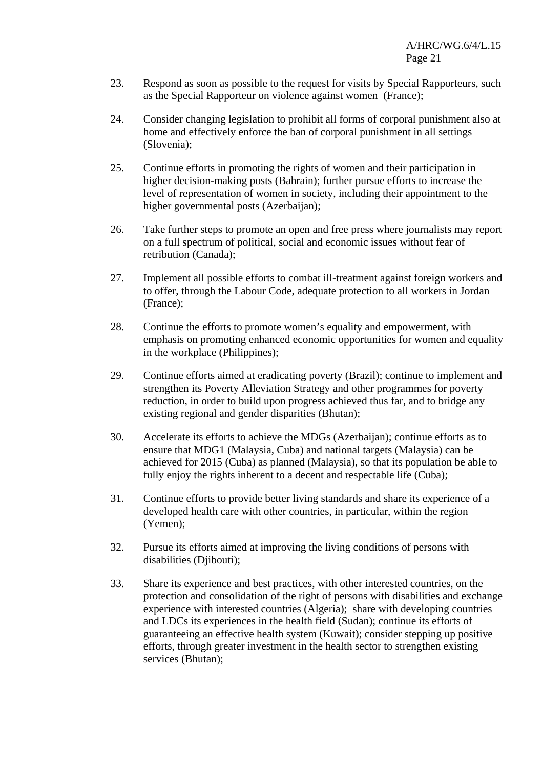- 23. Respond as soon as possible to the request for visits by Special Rapporteurs, such as the Special Rapporteur on violence against women (France);
- 24. Consider changing legislation to prohibit all forms of corporal punishment also at home and effectively enforce the ban of corporal punishment in all settings (Slovenia);
- 25. Continue efforts in promoting the rights of women and their participation in higher decision-making posts (Bahrain); further pursue efforts to increase the level of representation of women in society, including their appointment to the higher governmental posts (Azerbaijan);
- 26. Take further steps to promote an open and free press where journalists may report on a full spectrum of political, social and economic issues without fear of retribution (Canada);
- 27. Implement all possible efforts to combat ill-treatment against foreign workers and to offer, through the Labour Code, adequate protection to all workers in Jordan (France);
- 28. Continue the efforts to promote women's equality and empowerment, with emphasis on promoting enhanced economic opportunities for women and equality in the workplace (Philippines);
- 29. Continue efforts aimed at eradicating poverty (Brazil); continue to implement and strengthen its Poverty Alleviation Strategy and other programmes for poverty reduction, in order to build upon progress achieved thus far, and to bridge any existing regional and gender disparities (Bhutan);
- 30. Accelerate its efforts to achieve the MDGs (Azerbaijan); continue efforts as to ensure that MDG1 (Malaysia, Cuba) and national targets (Malaysia) can be achieved for 2015 (Cuba) as planned (Malaysia), so that its population be able to fully enjoy the rights inherent to a decent and respectable life (Cuba);
- 31. Continue efforts to provide better living standards and share its experience of a developed health care with other countries, in particular, within the region (Yemen);
- 32. Pursue its efforts aimed at improving the living conditions of persons with disabilities (Djibouti);
- 33. Share its experience and best practices, with other interested countries, on the protection and consolidation of the right of persons with disabilities and exchange experience with interested countries (Algeria); share with developing countries and LDCs its experiences in the health field (Sudan); continue its efforts of guaranteeing an effective health system (Kuwait); consider stepping up positive efforts, through greater investment in the health sector to strengthen existing services (Bhutan);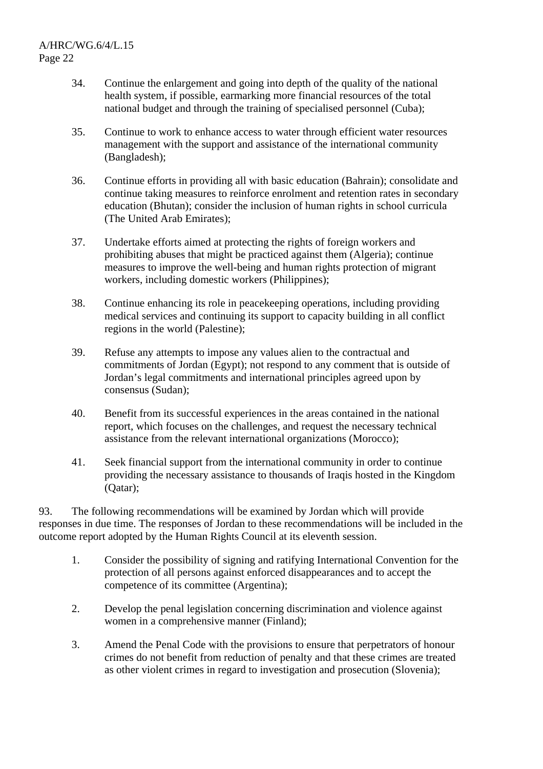- 34. Continue the enlargement and going into depth of the quality of the national health system, if possible, earmarking more financial resources of the total national budget and through the training of specialised personnel (Cuba);
- 35. Continue to work to enhance access to water through efficient water resources management with the support and assistance of the international community (Bangladesh);
- 36. Continue efforts in providing all with basic education (Bahrain); consolidate and continue taking measures to reinforce enrolment and retention rates in secondary education (Bhutan); consider the inclusion of human rights in school curricula (The United Arab Emirates);
- 37. Undertake efforts aimed at protecting the rights of foreign workers and prohibiting abuses that might be practiced against them (Algeria); continue measures to improve the well-being and human rights protection of migrant workers, including domestic workers (Philippines);
- 38. Continue enhancing its role in peacekeeping operations, including providing medical services and continuing its support to capacity building in all conflict regions in the world (Palestine);
- 39. Refuse any attempts to impose any values alien to the contractual and commitments of Jordan (Egypt); not respond to any comment that is outside of Jordan's legal commitments and international principles agreed upon by consensus (Sudan);
- 40. Benefit from its successful experiences in the areas contained in the national report, which focuses on the challenges, and request the necessary technical assistance from the relevant international organizations (Morocco);
- 41. Seek financial support from the international community in order to continue providing the necessary assistance to thousands of Iraqis hosted in the Kingdom (Qatar);

93. The following recommendations will be examined by Jordan which will provide responses in due time. The responses of Jordan to these recommendations will be included in the outcome report adopted by the Human Rights Council at its eleventh session.

- 1. Consider the possibility of signing and ratifying International Convention for the protection of all persons against enforced disappearances and to accept the competence of its committee (Argentina);
- 2. Develop the penal legislation concerning discrimination and violence against women in a comprehensive manner (Finland);
- 3. Amend the Penal Code with the provisions to ensure that perpetrators of honour crimes do not benefit from reduction of penalty and that these crimes are treated as other violent crimes in regard to investigation and prosecution (Slovenia);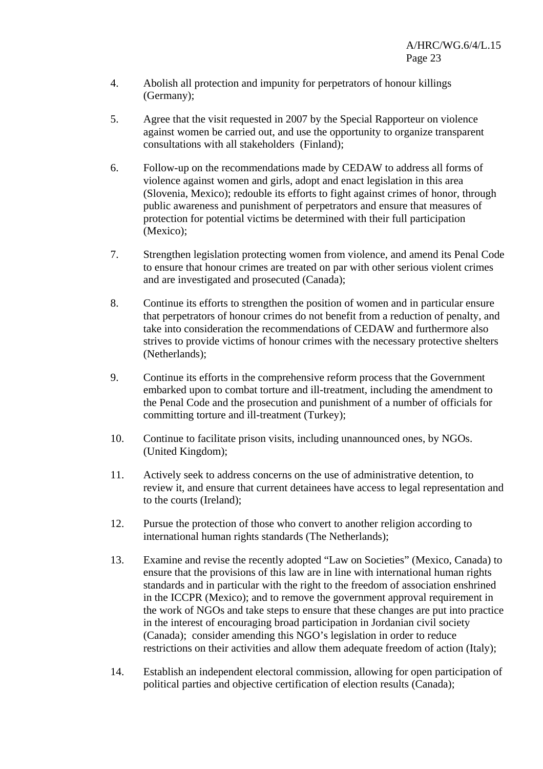- 4. Abolish all protection and impunity for perpetrators of honour killings (Germany);
- 5. Agree that the visit requested in 2007 by the Special Rapporteur on violence against women be carried out, and use the opportunity to organize transparent consultations with all stakeholders (Finland);
- 6. Follow-up on the recommendations made by CEDAW to address all forms of violence against women and girls, adopt and enact legislation in this area (Slovenia, Mexico); redouble its efforts to fight against crimes of honor, through public awareness and punishment of perpetrators and ensure that measures of protection for potential victims be determined with their full participation (Mexico);
- 7. Strengthen legislation protecting women from violence, and amend its Penal Code to ensure that honour crimes are treated on par with other serious violent crimes and are investigated and prosecuted (Canada);
- 8. Continue its efforts to strengthen the position of women and in particular ensure that perpetrators of honour crimes do not benefit from a reduction of penalty, and take into consideration the recommendations of CEDAW and furthermore also strives to provide victims of honour crimes with the necessary protective shelters (Netherlands);
- 9. Continue its efforts in the comprehensive reform process that the Government embarked upon to combat torture and ill-treatment, including the amendment to the Penal Code and the prosecution and punishment of a number of officials for committing torture and ill-treatment (Turkey);
- 10. Continue to facilitate prison visits, including unannounced ones, by NGOs. (United Kingdom);
- 11. Actively seek to address concerns on the use of administrative detention, to review it, and ensure that current detainees have access to legal representation and to the courts (Ireland);
- 12. Pursue the protection of those who convert to another religion according to international human rights standards (The Netherlands);
- 13. Examine and revise the recently adopted "Law on Societies" (Mexico, Canada) to ensure that the provisions of this law are in line with international human rights standards and in particular with the right to the freedom of association enshrined in the ICCPR (Mexico); and to remove the government approval requirement in the work of NGOs and take steps to ensure that these changes are put into practice in the interest of encouraging broad participation in Jordanian civil society (Canada); consider amending this NGO's legislation in order to reduce restrictions on their activities and allow them adequate freedom of action (Italy);
- 14. Establish an independent electoral commission, allowing for open participation of political parties and objective certification of election results (Canada);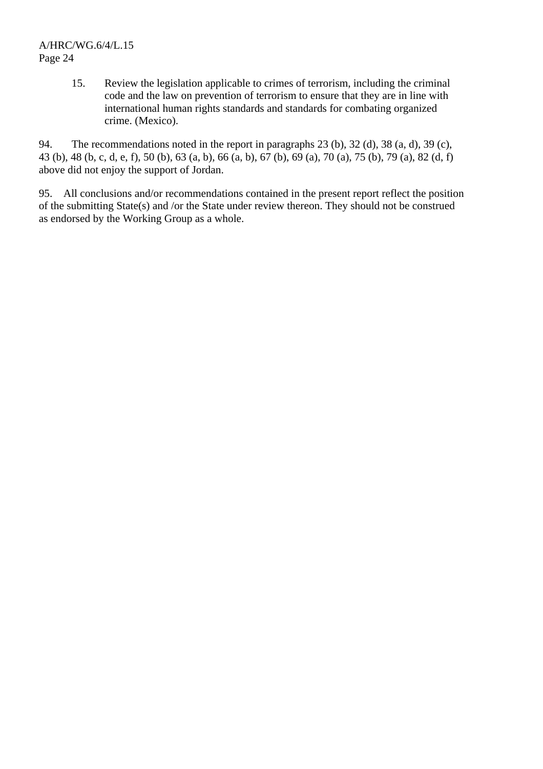15. Review the legislation applicable to crimes of terrorism, including the criminal code and the law on prevention of terrorism to ensure that they are in line with international human rights standards and standards for combating organized crime. (Mexico).

94. The recommendations noted in the report in paragraphs 23 (b), 32 (d), 38 (a, d), 39 (c), 43 (b), 48 (b, c, d, e, f), 50 (b), 63 (a, b), 66 (a, b), 67 (b), 69 (a), 70 (a), 75 (b), 79 (a), 82 (d, f) above did not enjoy the support of Jordan.

95. All conclusions and/or recommendations contained in the present report reflect the position of the submitting State(s) and /or the State under review thereon. They should not be construed as endorsed by the Working Group as a whole.